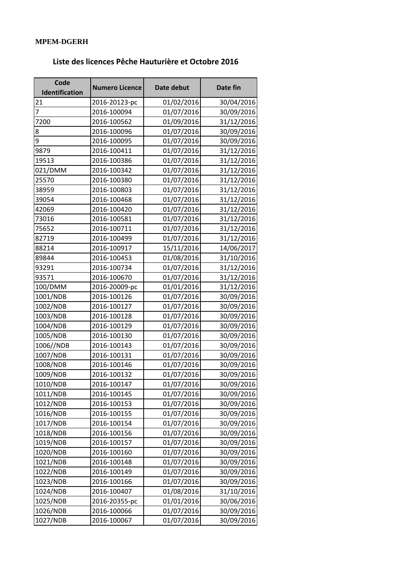## **MPEM-DGERH**

## **Liste des licences Pêche Hauturière et Octobre 2016**

| Code<br>Identification | <b>Numero Licence</b> | Date debut | Date fin   |
|------------------------|-----------------------|------------|------------|
| 21                     | 2016-20123-pc         | 01/02/2016 | 30/04/2016 |
| $\overline{7}$         | 2016-100094           | 01/07/2016 | 30/09/2016 |
| 7200                   | 2016-100562           | 01/09/2016 | 31/12/2016 |
| 8                      | 2016-100096           | 01/07/2016 | 30/09/2016 |
| 9                      | 2016-100095           | 01/07/2016 | 30/09/2016 |
| 9879                   | 2016-100411           | 01/07/2016 | 31/12/2016 |
| 19513                  | 2016-100386           | 01/07/2016 | 31/12/2016 |
| 021/DMM                | 2016-100342           | 01/07/2016 | 31/12/2016 |
| 25570                  | 2016-100380           | 01/07/2016 | 31/12/2016 |
| 38959                  | 2016-100803           | 01/07/2016 | 31/12/2016 |
| 39054                  | 2016-100468           | 01/07/2016 | 31/12/2016 |
| 42069                  | 2016-100420           | 01/07/2016 | 31/12/2016 |
| 73016                  | 2016-100581           | 01/07/2016 | 31/12/2016 |
| 75652                  | 2016-100711           | 01/07/2016 | 31/12/2016 |
| 82719                  | 2016-100499           | 01/07/2016 | 31/12/2016 |
| 88214                  | 2016-100917           | 15/11/2016 | 14/06/2017 |
| 89844                  | 2016-100453           | 01/08/2016 | 31/10/2016 |
| 93291                  | 2016-100734           | 01/07/2016 | 31/12/2016 |
| 93571                  | 2016-100670           | 01/07/2016 | 31/12/2016 |
| 100/DMM                | 2016-20009-pc         | 01/01/2016 | 31/12/2016 |
| 1001/NDB               | 2016-100126           | 01/07/2016 | 30/09/2016 |
| 1002/NDB               | 2016-100127           | 01/07/2016 | 30/09/2016 |
| 1003/NDB               | 2016-100128           | 01/07/2016 | 30/09/2016 |
| 1004/NDB               | 2016-100129           | 01/07/2016 | 30/09/2016 |
| 1005/NDB               | 2016-100130           | 01/07/2016 | 30/09/2016 |
| 1006//NDB              | 2016-100143           | 01/07/2016 | 30/09/2016 |
| 1007/NDB               | 2016-100131           | 01/07/2016 | 30/09/2016 |
| 1008/NDB               | 2016-100146           | 01/07/2016 | 30/09/2016 |
| 1009/NDB               | 2016-100132           | 01/07/2016 | 30/09/2016 |
| 1010/NDB               | 2016-100147           | 01/07/2016 | 30/09/2016 |
| 1011/NDB               | 2016-100145           | 01/07/2016 | 30/09/2016 |
| 1012/NDB               | 2016-100153           | 01/07/2016 | 30/09/2016 |
| 1016/NDB               | 2016-100155           | 01/07/2016 | 30/09/2016 |
| 1017/NDB               | 2016-100154           | 01/07/2016 | 30/09/2016 |
| 1018/NDB               | 2016-100156           | 01/07/2016 | 30/09/2016 |
| 1019/NDB               | 2016-100157           | 01/07/2016 | 30/09/2016 |
| 1020/NDB               | 2016-100160           | 01/07/2016 | 30/09/2016 |
| 1021/NDB               | 2016-100148           | 01/07/2016 | 30/09/2016 |
| 1022/NDB               | 2016-100149           | 01/07/2016 | 30/09/2016 |
| 1023/NDB               | 2016-100166           | 01/07/2016 | 30/09/2016 |
| 1024/NDB               | 2016-100407           | 01/08/2016 | 31/10/2016 |
| 1025/NDB               | 2016-20355-pc         | 01/01/2016 | 30/06/2016 |
| 1026/NDB               | 2016-100066           | 01/07/2016 | 30/09/2016 |
| 1027/NDB               | 2016-100067           | 01/07/2016 | 30/09/2016 |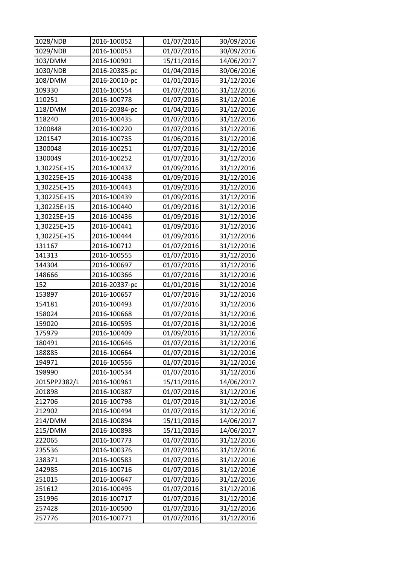| 1028/NDB     | 2016-100052   | 01/07/2016 | 30/09/2016 |
|--------------|---------------|------------|------------|
| 1029/NDB     | 2016-100053   | 01/07/2016 | 30/09/2016 |
| 103/DMM      | 2016-100901   | 15/11/2016 | 14/06/2017 |
| 1030/NDB     | 2016-20385-pc | 01/04/2016 | 30/06/2016 |
| 108/DMM      | 2016-20010-pc | 01/01/2016 | 31/12/2016 |
| 109330       | 2016-100554   | 01/07/2016 | 31/12/2016 |
| 110251       | 2016-100778   | 01/07/2016 | 31/12/2016 |
| 118/DMM      | 2016-20384-pc | 01/04/2016 | 31/12/2016 |
| 118240       | 2016-100435   | 01/07/2016 | 31/12/2016 |
| 1200848      | 2016-100220   | 01/07/2016 | 31/12/2016 |
| 1201547      | 2016-100735   | 01/06/2016 | 31/12/2016 |
| 1300048      | 2016-100251   | 01/07/2016 | 31/12/2016 |
| 1300049      | 2016-100252   | 01/07/2016 | 31/12/2016 |
| 1,30225E+15  | 2016-100437   | 01/09/2016 | 31/12/2016 |
| 1,30225E+15  | 2016-100438   | 01/09/2016 | 31/12/2016 |
| 1,30225E+15  | 2016-100443   | 01/09/2016 | 31/12/2016 |
| 1,30225E+15  | 2016-100439   | 01/09/2016 | 31/12/2016 |
| 1,30225E+15  | 2016-100440   | 01/09/2016 | 31/12/2016 |
| 1,30225E+15  | 2016-100436   | 01/09/2016 | 31/12/2016 |
| 1,30225E+15  | 2016-100441   | 01/09/2016 | 31/12/2016 |
| 1,30225E+15  | 2016-100444   | 01/09/2016 | 31/12/2016 |
| 131167       | 2016-100712   | 01/07/2016 | 31/12/2016 |
| 141313       | 2016-100555   | 01/07/2016 | 31/12/2016 |
| 144304       | 2016-100697   | 01/07/2016 | 31/12/2016 |
| 148666       | 2016-100366   | 01/07/2016 | 31/12/2016 |
| 152          | 2016-20337-pc | 01/01/2016 | 31/12/2016 |
| 153897       | 2016-100657   | 01/07/2016 | 31/12/2016 |
| 154181       | 2016-100493   | 01/07/2016 | 31/12/2016 |
| 158024       | 2016-100668   | 01/07/2016 | 31/12/2016 |
| 159020       | 2016-100595   | 01/07/2016 | 31/12/2016 |
| 175979       | 2016-100409   | 01/09/2016 | 31/12/2016 |
| 180491       | 2016-100646   | 01/07/2016 | 31/12/2016 |
| 188885       | 2016-100664   | 01/07/2016 | 31/12/2016 |
| 194971       | 2016-100556   | 01/07/2016 | 31/12/2016 |
| 198990       | 2016-100534   | 01/07/2016 | 31/12/2016 |
| 2015PP2382/L | 2016-100961   | 15/11/2016 | 14/06/2017 |
| 201898       | 2016-100387   | 01/07/2016 | 31/12/2016 |
| 212706       | 2016-100798   | 01/07/2016 | 31/12/2016 |
| 212902       | 2016-100494   | 01/07/2016 | 31/12/2016 |
| 214/DMM      | 2016-100894   | 15/11/2016 | 14/06/2017 |
| 215/DMM      | 2016-100898   | 15/11/2016 | 14/06/2017 |
| 222065       | 2016-100773   | 01/07/2016 | 31/12/2016 |
| 235536       | 2016-100376   | 01/07/2016 | 31/12/2016 |
| 238371       | 2016-100583   | 01/07/2016 | 31/12/2016 |
| 242985       | 2016-100716   | 01/07/2016 | 31/12/2016 |
| 251015       | 2016-100647   | 01/07/2016 | 31/12/2016 |
| 251612       | 2016-100495   | 01/07/2016 | 31/12/2016 |
| 251996       | 2016-100717   | 01/07/2016 | 31/12/2016 |
| 257428       | 2016-100500   | 01/07/2016 | 31/12/2016 |
| 257776       | 2016-100771   | 01/07/2016 | 31/12/2016 |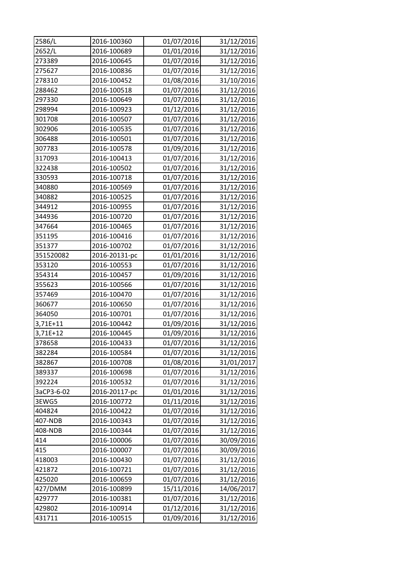| 2586/L     | 2016-100360   | 01/07/2016 | 31/12/2016 |
|------------|---------------|------------|------------|
| 2652/L     | 2016-100689   | 01/01/2016 | 31/12/2016 |
| 273389     | 2016-100645   | 01/07/2016 | 31/12/2016 |
| 275627     | 2016-100836   | 01/07/2016 | 31/12/2016 |
| 278310     | 2016-100452   | 01/08/2016 | 31/10/2016 |
| 288462     | 2016-100518   | 01/07/2016 | 31/12/2016 |
| 297330     | 2016-100649   | 01/07/2016 | 31/12/2016 |
| 298994     | 2016-100923   | 01/12/2016 | 31/12/2016 |
| 301708     | 2016-100507   | 01/07/2016 | 31/12/2016 |
| 302906     | 2016-100535   | 01/07/2016 | 31/12/2016 |
| 306488     | 2016-100501   | 01/07/2016 | 31/12/2016 |
| 307783     | 2016-100578   | 01/09/2016 | 31/12/2016 |
| 317093     | 2016-100413   | 01/07/2016 | 31/12/2016 |
| 322438     | 2016-100502   | 01/07/2016 | 31/12/2016 |
| 330593     | 2016-100718   | 01/07/2016 | 31/12/2016 |
| 340880     | 2016-100569   | 01/07/2016 | 31/12/2016 |
| 340882     | 2016-100525   | 01/07/2016 | 31/12/2016 |
| 344912     | 2016-100955   | 01/07/2016 | 31/12/2016 |
| 344936     | 2016-100720   | 01/07/2016 | 31/12/2016 |
| 347664     | 2016-100465   | 01/07/2016 | 31/12/2016 |
| 351195     | 2016-100416   | 01/07/2016 | 31/12/2016 |
| 351377     | 2016-100702   | 01/07/2016 | 31/12/2016 |
| 351520082  | 2016-20131-pc | 01/01/2016 | 31/12/2016 |
| 353120     | 2016-100553   | 01/07/2016 | 31/12/2016 |
| 354314     | 2016-100457   | 01/09/2016 | 31/12/2016 |
| 355623     | 2016-100566   | 01/07/2016 | 31/12/2016 |
| 357469     | 2016-100470   | 01/07/2016 | 31/12/2016 |
| 360677     | 2016-100650   | 01/07/2016 | 31/12/2016 |
| 364050     | 2016-100701   | 01/07/2016 | 31/12/2016 |
| 3,71E+11   | 2016-100442   | 01/09/2016 | 31/12/2016 |
| 3,71E+12   | 2016-100445   | 01/09/2016 | 31/12/2016 |
| 378658     | 2016-100433   | 01/07/2016 | 31/12/2016 |
| 382284     | 2016-100584   | 01/07/2016 | 31/12/2016 |
| 382867     | 2016-100708   | 01/08/2016 | 31/01/2017 |
| 389337     | 2016-100698   | 01/07/2016 | 31/12/2016 |
| 392224     | 2016-100532   | 01/07/2016 | 31/12/2016 |
| 3aCP3-6-02 | 2016-20117-pc | 01/01/2016 | 31/12/2016 |
| 3EWG5      | 2016-100772   | 01/11/2016 | 31/12/2016 |
| 404824     | 2016-100422   | 01/07/2016 | 31/12/2016 |
| 407-NDB    | 2016-100343   | 01/07/2016 | 31/12/2016 |
| 408-NDB    | 2016-100344   | 01/07/2016 | 31/12/2016 |
| 414        | 2016-100006   | 01/07/2016 | 30/09/2016 |
| 415        | 2016-100007   | 01/07/2016 | 30/09/2016 |
| 418003     | 2016-100430   | 01/07/2016 | 31/12/2016 |
| 421872     | 2016-100721   | 01/07/2016 | 31/12/2016 |
| 425020     | 2016-100659   | 01/07/2016 | 31/12/2016 |
| 427/DMM    | 2016-100899   | 15/11/2016 | 14/06/2017 |
| 429777     | 2016-100381   | 01/07/2016 | 31/12/2016 |
| 429802     | 2016-100914   | 01/12/2016 | 31/12/2016 |
| 431711     | 2016-100515   | 01/09/2016 | 31/12/2016 |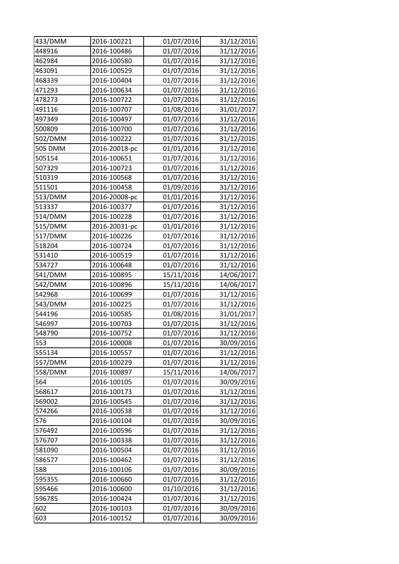| 433/DMM       | 2016-100221                | 01/07/2016               | 31/12/2016               |
|---------------|----------------------------|--------------------------|--------------------------|
| 448916        | 2016-100486                | 01/07/2016               | 31/12/2016               |
| 462984        | 2016-100580                | 01/07/2016               | 31/12/2016               |
| 463091        | 2016-100529                | 01/07/2016               | 31/12/2016               |
| 468339        | 2016-100404                | 01/07/2016               | 31/12/2016               |
| 471293        | 2016-100634                | 01/07/2016               | 31/12/2016               |
| 478273        | 2016-100722                | 01/07/2016               | 31/12/2016               |
| 491116        | 2016-100707                | 01/08/2016               | 31/01/2017               |
| 497349        | 2016-100497                | 01/07/2016               | 31/12/2016               |
| 500809        | 2016-100700                | 01/07/2016               | 31/12/2016               |
| 502/DMM       | 2016-100222                | 01/07/2016               | 31/12/2016               |
| 505 DMM       | 2016-20018-pc              | 01/01/2016               | 31/12/2016               |
| 505154        | 2016-100651                | 01/07/2016               | 31/12/2016               |
| 507329        | 2016-100723                | 01/07/2016               | 31/12/2016               |
| 510319        | 2016-100568                | 01/07/2016               | 31/12/2016               |
| 511501        | 2016-100458                | 01/09/2016               | 31/12/2016               |
| 513/DMM       | 2016-20008-pc              | 01/01/2016               | 31/12/2016               |
| 513337        | 2016-100377                | 01/07/2016               | 31/12/2016               |
| 514/DMM       | 2016-100228                | 01/07/2016               | 31/12/2016               |
| 515/DMM       | 2016-20031-pc              | 01/01/2016               | 31/12/2016               |
| 517/DMM       | 2016-100226                | 01/07/2016               | 31/12/2016               |
| 518204        | 2016-100724                | 01/07/2016               | 31/12/2016               |
| 531410        | 2016-100519                | 01/07/2016               | 31/12/2016               |
| 534727        | 2016-100648                | 01/07/2016               | 31/12/2016               |
| 541/DMM       | 2016-100895                | 15/11/2016               | 14/06/2017               |
| 542/DMM       | 2016-100896                | 15/11/2016               | 14/06/2017               |
| 542968        | 2016-100699                | 01/07/2016               | 31/12/2016               |
| 543/DMM       | 2016-100225                | 01/07/2016               | 31/12/2016               |
| 544196        | 2016-100585                | 01/08/2016               | 31/01/2017               |
| 546997        | 2016-100703                | 01/07/2016               | 31/12/2016               |
| 548790        | 2016-100752                | 01/07/2016               | 31/12/2016               |
| 553           | 2016-100008                | 01/07/2016               | 30/09/2016               |
| 555134        | 2016-100557                | 01/07/2016               | 31/12/2016               |
| 557/DMM       | 2016-100229                | 01/07/2016               | 31/12/2016               |
| 558/DMM       | 2016-100897                | 15/11/2016               | 14/06/2017               |
| 564           | 2016-100105                | 01/07/2016               | 30/09/2016               |
| 568617        | 2016-100173                | 01/07/2016               | 31/12/2016               |
| 569002        | 2016-100545                | 01/07/2016               | 31/12/2016               |
| 574266        | 2016-100538                | 01/07/2016               | 31/12/2016               |
| 576           | 2016-100104                | 01/07/2016               | 30/09/2016               |
| 576492        | 2016-100596                | 01/07/2016               | 31/12/2016               |
| 576707        | 2016-100338                | 01/07/2016               | 31/12/2016               |
| 581090        | 2016-100504                | 01/07/2016               | 31/12/2016               |
| 586577        | 2016-100462                | 01/07/2016               | 31/12/2016               |
| 588           | 2016-100106                | 01/07/2016               | 30/09/2016               |
| 595355        | 2016-100660                | 01/07/2016               | 31/12/2016               |
|               |                            |                          | 31/12/2016               |
|               |                            |                          |                          |
| 595466        | 2016-100600                | 01/10/2016               |                          |
| 596785<br>602 | 2016-100424<br>2016-100103 | 01/07/2016<br>01/07/2016 | 31/12/2016<br>30/09/2016 |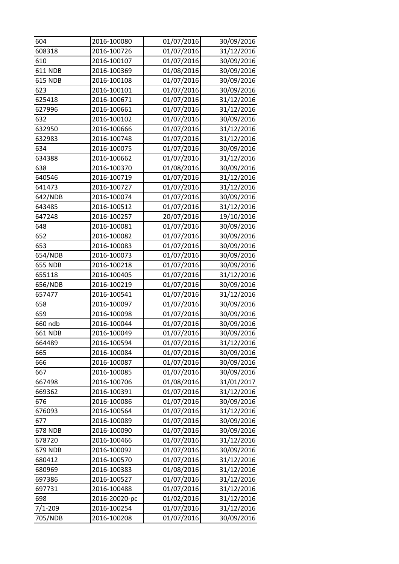| 604            | 2016-100080                  | 01/07/2016 | 30/09/2016 |
|----------------|------------------------------|------------|------------|
| 608318         | 2016-100726                  | 01/07/2016 | 31/12/2016 |
| 610            | 2016-100107                  | 01/07/2016 | 30/09/2016 |
| <b>611 NDB</b> | 2016-100369                  | 01/08/2016 | 30/09/2016 |
| <b>615 NDB</b> | 2016-100108                  | 01/07/2016 | 30/09/2016 |
| 623            | 2016-100101                  | 01/07/2016 | 30/09/2016 |
| 625418         | 2016-100671                  | 01/07/2016 | 31/12/2016 |
| 627996         | 2016-100661                  | 01/07/2016 | 31/12/2016 |
| 632            | 2016-100102                  | 01/07/2016 | 30/09/2016 |
| 632950         | 2016-100666                  | 01/07/2016 | 31/12/2016 |
| 632983         | 2016-100748                  | 01/07/2016 | 31/12/2016 |
| 634            | 2016-100075                  | 01/07/2016 | 30/09/2016 |
| 634388         | 2016-100662                  | 01/07/2016 | 31/12/2016 |
| 638            | 2016-100370                  | 01/08/2016 | 30/09/2016 |
| 640546         | 2016-100719                  | 01/07/2016 | 31/12/2016 |
| 641473         | 2016-100727                  | 01/07/2016 | 31/12/2016 |
| 642/NDB        | 2016-100074                  | 01/07/2016 | 30/09/2016 |
| 643485         | 2016-100512                  | 01/07/2016 | 31/12/2016 |
| 647248         | 2016-100257                  | 20/07/2016 | 19/10/2016 |
| 648            | 2016-100081                  | 01/07/2016 | 30/09/2016 |
| 652            | 2016-100082                  | 01/07/2016 | 30/09/2016 |
| 653            | 2016-100083                  | 01/07/2016 | 30/09/2016 |
| 654/NDB        | 2016-100073                  | 01/07/2016 | 30/09/2016 |
| <b>655 NDB</b> | 2016-100218                  | 01/07/2016 | 30/09/2016 |
| 655118         | 2016-100405                  | 01/07/2016 | 31/12/2016 |
| 656/NDB        | 2016-100219                  | 01/07/2016 | 30/09/2016 |
| 657477         | 2016-100541                  | 01/07/2016 | 31/12/2016 |
| 658            | 2016-100097                  | 01/07/2016 | 30/09/2016 |
| 659            | 2016-100098                  | 01/07/2016 | 30/09/2016 |
| 660 ndb        | 2016-100044                  | 01/07/2016 | 30/09/2016 |
| 661 NDB        | 2016-100049                  | 01/07/2016 | 30/09/2016 |
| 664489         | 2016-100594                  | 01/07/2016 | 31/12/2016 |
| 665            | 2016-100084                  | 01/07/2016 | 30/09/2016 |
| 666            | 2016-100087                  | 01/07/2016 | 30/09/2016 |
| 667            | 2016-100085                  | 01/07/2016 | 30/09/2016 |
| 667498         | 2016-100706                  | 01/08/2016 | 31/01/2017 |
| 669362         | 2016-100391                  | 01/07/2016 | 31/12/2016 |
| 676            | 2016-100086                  | 01/07/2016 | 30/09/2016 |
| 676093         | 2016-100564                  | 01/07/2016 | 31/12/2016 |
| 677            | 2016-100089                  | 01/07/2016 | 30/09/2016 |
| <b>678 NDB</b> | 2016-100090                  | 01/07/2016 | 30/09/2016 |
| 678720         | 2016-100466                  | 01/07/2016 | 31/12/2016 |
| 679 NDB        | 2016-100092                  | 01/07/2016 | 30/09/2016 |
| 680412         | 2016-100570                  | 01/07/2016 | 31/12/2016 |
| 680969         | 2016-100383                  | 01/08/2016 | 31/12/2016 |
| 697386         | 2016-100527                  | 01/07/2016 | 31/12/2016 |
| 697731         | 2016-100488                  | 01/07/2016 | 31/12/2016 |
|                |                              |            | 31/12/2016 |
| 698            |                              | 01/02/2016 |            |
| $7/1 - 209$    | 2016-20020-pc<br>2016-100254 | 01/07/2016 | 31/12/2016 |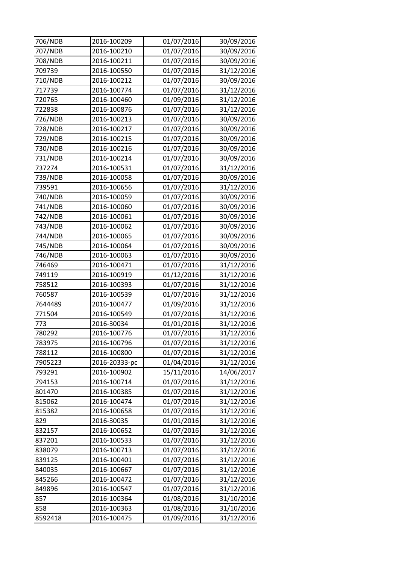| 706/NDB | 2016-100209   | 01/07/2016 | 30/09/2016 |
|---------|---------------|------------|------------|
| 707/NDB | 2016-100210   | 01/07/2016 | 30/09/2016 |
| 708/NDB | 2016-100211   | 01/07/2016 | 30/09/2016 |
| 709739  | 2016-100550   | 01/07/2016 | 31/12/2016 |
| 710/NDB | 2016-100212   | 01/07/2016 | 30/09/2016 |
| 717739  | 2016-100774   | 01/07/2016 | 31/12/2016 |
| 720765  | 2016-100460   | 01/09/2016 | 31/12/2016 |
| 722838  | 2016-100876   | 01/07/2016 | 31/12/2016 |
| 726/NDB | 2016-100213   | 01/07/2016 | 30/09/2016 |
| 728/NDB | 2016-100217   | 01/07/2016 | 30/09/2016 |
| 729/NDB | 2016-100215   | 01/07/2016 | 30/09/2016 |
| 730/NDB | 2016-100216   | 01/07/2016 | 30/09/2016 |
| 731/NDB | 2016-100214   | 01/07/2016 | 30/09/2016 |
| 737274  | 2016-100531   | 01/07/2016 | 31/12/2016 |
| 739/NDB | 2016-100058   | 01/07/2016 | 30/09/2016 |
| 739591  | 2016-100656   | 01/07/2016 | 31/12/2016 |
| 740/NDB | 2016-100059   | 01/07/2016 | 30/09/2016 |
| 741/NDB | 2016-100060   | 01/07/2016 | 30/09/2016 |
| 742/NDB | 2016-100061   | 01/07/2016 | 30/09/2016 |
| 743/NDB | 2016-100062   | 01/07/2016 | 30/09/2016 |
| 744/NDB | 2016-100065   | 01/07/2016 | 30/09/2016 |
| 745/NDB | 2016-100064   | 01/07/2016 | 30/09/2016 |
| 746/NDB | 2016-100063   | 01/07/2016 | 30/09/2016 |
| 746469  | 2016-100471   | 01/07/2016 | 31/12/2016 |
| 749119  | 2016-100919   | 01/12/2016 | 31/12/2016 |
| 758512  | 2016-100393   | 01/07/2016 | 31/12/2016 |
| 760587  | 2016-100539   | 01/07/2016 | 31/12/2016 |
| 7644489 | 2016-100477   | 01/09/2016 | 31/12/2016 |
| 771504  | 2016-100549   | 01/07/2016 | 31/12/2016 |
| 773     | 2016-30034    | 01/01/2016 | 31/12/2016 |
| 780292  | 2016-100776   | 01/07/2016 | 31/12/2016 |
| 783975  | 2016-100796   | 01/07/2016 | 31/12/2016 |
| 788112  | 2016-100800   | 01/07/2016 | 31/12/2016 |
| 7905223 | 2016-20333-pc | 01/04/2016 | 31/12/2016 |
| 793291  | 2016-100902   | 15/11/2016 | 14/06/2017 |
| 794153  | 2016-100714   | 01/07/2016 | 31/12/2016 |
| 801470  | 2016-100385   | 01/07/2016 | 31/12/2016 |
| 815062  | 2016-100474   | 01/07/2016 | 31/12/2016 |
| 815382  | 2016-100658   | 01/07/2016 | 31/12/2016 |
| 829     | 2016-30035    | 01/01/2016 | 31/12/2016 |
| 832157  | 2016-100652   | 01/07/2016 | 31/12/2016 |
| 837201  | 2016-100533   | 01/07/2016 | 31/12/2016 |
| 838079  | 2016-100713   | 01/07/2016 | 31/12/2016 |
| 839125  | 2016-100401   | 01/07/2016 | 31/12/2016 |
| 840035  | 2016-100667   | 01/07/2016 | 31/12/2016 |
| 845266  | 2016-100472   | 01/07/2016 | 31/12/2016 |
| 849896  | 2016-100547   | 01/07/2016 | 31/12/2016 |
| 857     | 2016-100364   | 01/08/2016 | 31/10/2016 |
| 858     | 2016-100363   | 01/08/2016 | 31/10/2016 |
| 8592418 | 2016-100475   | 01/09/2016 | 31/12/2016 |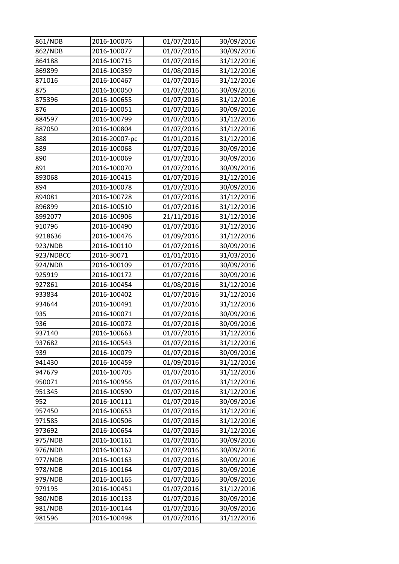| 861/NDB   | 2016-100076   | 01/07/2016 | 30/09/2016 |
|-----------|---------------|------------|------------|
| 862/NDB   | 2016-100077   | 01/07/2016 | 30/09/2016 |
| 864188    | 2016-100715   | 01/07/2016 | 31/12/2016 |
| 869899    | 2016-100359   | 01/08/2016 | 31/12/2016 |
| 871016    | 2016-100467   | 01/07/2016 | 31/12/2016 |
| 875       | 2016-100050   | 01/07/2016 | 30/09/2016 |
| 875396    | 2016-100655   | 01/07/2016 | 31/12/2016 |
| 876       | 2016-100051   | 01/07/2016 | 30/09/2016 |
| 884597    | 2016-100799   | 01/07/2016 | 31/12/2016 |
| 887050    | 2016-100804   | 01/07/2016 | 31/12/2016 |
| 888       | 2016-20007-pc | 01/01/2016 | 31/12/2016 |
| 889       | 2016-100068   | 01/07/2016 | 30/09/2016 |
| 890       | 2016-100069   | 01/07/2016 | 30/09/2016 |
| 891       | 2016-100070   | 01/07/2016 | 30/09/2016 |
| 893068    | 2016-100415   | 01/07/2016 | 31/12/2016 |
| 894       | 2016-100078   | 01/07/2016 | 30/09/2016 |
| 894081    | 2016-100728   | 01/07/2016 | 31/12/2016 |
| 896899    | 2016-100510   | 01/07/2016 | 31/12/2016 |
| 8992077   | 2016-100906   | 21/11/2016 | 31/12/2016 |
| 910796    | 2016-100490   | 01/07/2016 | 31/12/2016 |
| 9218636   | 2016-100476   | 01/09/2016 | 31/12/2016 |
| 923/NDB   | 2016-100110   | 01/07/2016 | 30/09/2016 |
| 923/NDBCC | 2016-30071    | 01/01/2016 | 31/03/2016 |
| 924/NDB   | 2016-100109   | 01/07/2016 | 30/09/2016 |
| 925919    | 2016-100172   | 01/07/2016 | 30/09/2016 |
| 927861    | 2016-100454   | 01/08/2016 | 31/12/2016 |
| 933834    | 2016-100402   | 01/07/2016 | 31/12/2016 |
| 934644    | 2016-100491   | 01/07/2016 | 31/12/2016 |
| 935       | 2016-100071   | 01/07/2016 | 30/09/2016 |
| 936       | 2016-100072   | 01/07/2016 | 30/09/2016 |
| 937140    | 2016-100663   | 01/07/2016 | 31/12/2016 |
| 937682    | 2016-100543   | 01/07/2016 | 31/12/2016 |
| 939       | 2016-100079   | 01/07/2016 | 30/09/2016 |
| 941430    | 2016-100459   | 01/09/2016 | 31/12/2016 |
| 947679    | 2016-100705   | 01/07/2016 | 31/12/2016 |
| 950071    | 2016-100956   | 01/07/2016 | 31/12/2016 |
| 951345    | 2016-100590   | 01/07/2016 | 31/12/2016 |
| 952       | 2016-100111   | 01/07/2016 | 30/09/2016 |
| 957450    | 2016-100653   | 01/07/2016 | 31/12/2016 |
| 971585    | 2016-100506   | 01/07/2016 | 31/12/2016 |
| 973692    | 2016-100654   | 01/07/2016 | 31/12/2016 |
| 975/NDB   | 2016-100161   | 01/07/2016 | 30/09/2016 |
| 976/NDB   | 2016-100162   | 01/07/2016 | 30/09/2016 |
| 977/NDB   | 2016-100163   | 01/07/2016 | 30/09/2016 |
| 978/NDB   | 2016-100164   | 01/07/2016 | 30/09/2016 |
| 979/NDB   | 2016-100165   | 01/07/2016 | 30/09/2016 |
| 979195    | 2016-100451   | 01/07/2016 | 31/12/2016 |
| 980/NDB   | 2016-100133   | 01/07/2016 | 30/09/2016 |
| 981/NDB   | 2016-100144   | 01/07/2016 | 30/09/2016 |
| 981596    | 2016-100498   | 01/07/2016 | 31/12/2016 |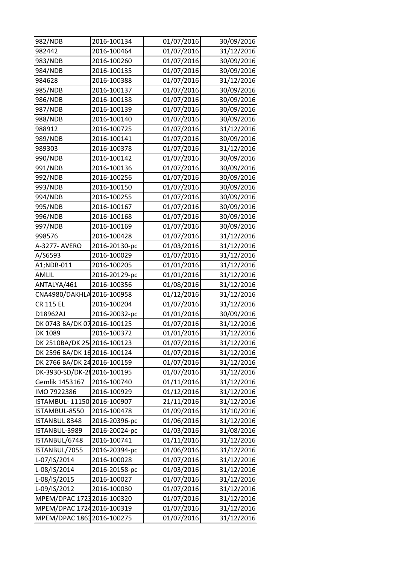| 982/NDB                      | 2016-100134   | 01/07/2016 | 30/09/2016 |
|------------------------------|---------------|------------|------------|
| 982442                       | 2016-100464   | 01/07/2016 | 31/12/2016 |
| 983/NDB                      | 2016-100260   | 01/07/2016 | 30/09/2016 |
| 984/NDB                      | 2016-100135   | 01/07/2016 | 30/09/2016 |
| 984628                       | 2016-100388   | 01/07/2016 | 31/12/2016 |
| 985/NDB                      | 2016-100137   | 01/07/2016 | 30/09/2016 |
| 986/NDB                      | 2016-100138   | 01/07/2016 | 30/09/2016 |
| 987/NDB                      | 2016-100139   | 01/07/2016 | 30/09/2016 |
| 988/NDB                      | 2016-100140   | 01/07/2016 | 30/09/2016 |
| 988912                       | 2016-100725   | 01/07/2016 | 31/12/2016 |
| 989/NDB                      | 2016-100141   | 01/07/2016 | 30/09/2016 |
| 989303                       | 2016-100378   | 01/07/2016 | 31/12/2016 |
| 990/NDB                      | 2016-100142   | 01/07/2016 | 30/09/2016 |
| 991/NDB                      | 2016-100136   | 01/07/2016 | 30/09/2016 |
| 992/NDB                      | 2016-100256   | 01/07/2016 | 30/09/2016 |
| 993/NDB                      | 2016-100150   | 01/07/2016 | 30/09/2016 |
| 994/NDB                      | 2016-100255   | 01/07/2016 | 30/09/2016 |
| 995/NDB                      | 2016-100167   | 01/07/2016 | 30/09/2016 |
| 996/NDB                      | 2016-100168   | 01/07/2016 | 30/09/2016 |
| 997/NDB                      | 2016-100169   | 01/07/2016 | 30/09/2016 |
| 998576                       | 2016-100428   | 01/07/2016 | 31/12/2016 |
| A-3277- AVERO                | 2016-20130-pc | 01/03/2016 | 31/12/2016 |
| A/S6593                      | 2016-100029   | 01/07/2016 | 31/12/2016 |
| A1;NDB-011                   | 2016-100205   | 01/01/2016 | 31/12/2016 |
| AMLIL                        | 2016-20129-pc | 01/01/2016 | 31/12/2016 |
| ANTALYA/461                  | 2016-100356   | 01/08/2016 | 31/12/2016 |
| CNA4980/DAKHLA 2016-100958   |               | 01/12/2016 | 31/12/2016 |
| <b>CR 115 EL</b>             | 2016-100204   | 01/07/2016 | 31/12/2016 |
| D18962AJ                     | 2016-20032-pc | 01/01/2016 | 30/09/2016 |
| DK 0743 BA/DK 07 2016-100125 |               | 01/07/2016 | 31/12/2016 |
| DK 1089                      | 2016-100372   | 01/01/2016 | 31/12/2016 |
| DK 2510BA/DK 25 2016-100123  |               | 01/07/2016 | 31/12/2016 |
| DK 2596 BA/DK 16 2016-100124 |               | 01/07/2016 | 31/12/2016 |
| DK 2766 BA/DK 24 2016-100159 |               | 01/07/2016 | 31/12/2016 |
| DK-3930-SD/DK-282016-100195  |               | 01/07/2016 | 31/12/2016 |
| Gemlik 1453167               | 2016-100740   | 01/11/2016 | 31/12/2016 |
| IMO 7922386                  | 2016-100929   | 01/12/2016 | 31/12/2016 |
| ISTAMBUL-11150 2016-100907   |               | 21/11/2016 | 31/12/2016 |
| ISTAMBUL-8550                | 2016-100478   | 01/09/2016 | 31/10/2016 |
| <b>ISTANBUL 8348</b>         | 2016-20396-pc | 01/06/2016 | 31/12/2016 |
| ISTANBUL-3989                | 2016-20024-pc | 01/03/2016 | 31/08/2016 |
| ISTANBUL/6748                | 2016-100741   | 01/11/2016 | 31/12/2016 |
| ISTANBUL/7055                | 2016-20394-pc | 01/06/2016 | 31/12/2016 |
| L-07/IS/2014                 | 2016-100028   | 01/07/2016 | 31/12/2016 |
| L-08/IS/2014                 | 2016-20158-pc | 01/03/2016 | 31/12/2016 |
| L-08/IS/2015                 | 2016-100027   | 01/07/2016 | 31/12/2016 |
| L-09/IS/2012                 | 2016-100030   | 01/07/2016 | 31/12/2016 |
| MPEM/DPAC 1723 2016-100320   |               | 01/07/2016 | 31/12/2016 |
| MPEM/DPAC 17242016-100319    |               | 01/07/2016 | 31/12/2016 |
| MPEM/DPAC 18632016-100275    |               | 01/07/2016 | 31/12/2016 |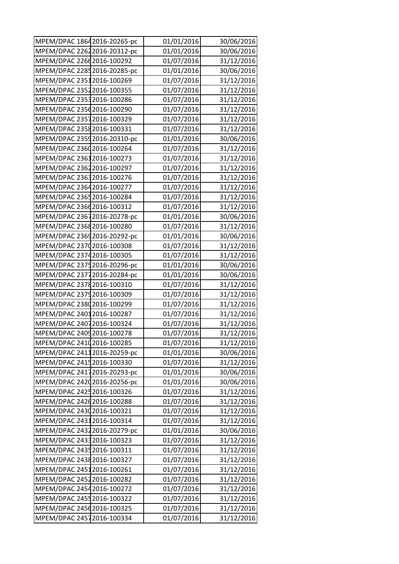| MPEM/DPAC 18642016-20265-pc  | 01/01/2016 | 30/06/2016 |
|------------------------------|------------|------------|
| MPEM/DPAC 22622016-20312-pc  | 01/01/2016 | 30/06/2016 |
| MPEM/DPAC 22662016-100292    | 01/07/2016 | 31/12/2016 |
| MPEM/DPAC 22852016-20285-pc  | 01/01/2016 | 30/06/2016 |
| MPEM/DPAC 23512016-100269    | 01/07/2016 | 31/12/2016 |
| MPEM/DPAC 23522016-100355    | 01/07/2016 | 31/12/2016 |
| MPEM/DPAC 23532016-100286    | 01/07/2016 | 31/12/2016 |
| MPEM/DPAC 2356 2016-100290   | 01/07/2016 | 31/12/2016 |
| MPEM/DPAC 23572016-100329    | 01/07/2016 | 31/12/2016 |
| MPEM/DPAC 23582016-100331    | 01/07/2016 | 31/12/2016 |
| MPEM/DPAC 23592016-20310-pc  | 01/01/2016 | 30/06/2016 |
| MPEM/DPAC 23602016-100264    | 01/07/2016 | 31/12/2016 |
| MPEM/DPAC 23612016-100273    | 01/07/2016 | 31/12/2016 |
| MPEM/DPAC 23622016-100297    | 01/07/2016 | 31/12/2016 |
| MPEM/DPAC 2363 2016-100276   | 01/07/2016 | 31/12/2016 |
| MPEM/DPAC 23642016-100277    | 01/07/2016 | 31/12/2016 |
| MPEM/DPAC 23652016-100284    | 01/07/2016 | 31/12/2016 |
| MPEM/DPAC 2366 2016-100312   | 01/07/2016 | 31/12/2016 |
| MPEM/DPAC 23672016-20278-pc  | 01/01/2016 | 30/06/2016 |
| MPEM/DPAC 2368 2016-100280   | 01/07/2016 | 31/12/2016 |
| MPEM/DPAC 23692016-20292-pc  | 01/01/2016 | 30/06/2016 |
| MPEM/DPAC 23702016-100308    | 01/07/2016 | 31/12/2016 |
| MPEM/DPAC 23742016-100305    | 01/07/2016 | 31/12/2016 |
| MPEM/DPAC 2375 2016-20296-pc | 01/01/2016 | 30/06/2016 |
| MPEM/DPAC 23772016-20284-pc  | 01/01/2016 | 30/06/2016 |
| MPEM/DPAC 23782016-100310    | 01/07/2016 | 31/12/2016 |
| MPEM/DPAC 23792016-100309    | 01/07/2016 | 31/12/2016 |
| MPEM/DPAC 2380 2016-100299   | 01/07/2016 | 31/12/2016 |
| MPEM/DPAC 24012016-100287    | 01/07/2016 | 31/12/2016 |
| MPEM/DPAC 2407 2016-100324   | 01/07/2016 | 31/12/2016 |
| MPEM/DPAC 2409 2016-100278   | 01/07/2016 | 31/12/2016 |
| MPEM/DPAC 24102016-100285    | 01/07/2016 | 31/12/2016 |
| MPEM/DPAC 24112016-20259-pc  | 01/01/2016 | 30/06/2016 |
| MPEM/DPAC 2415 2016-100330   | 01/07/2016 | 31/12/2016 |
| MPEM/DPAC 24172016-20293-pc  | 01/01/2016 | 30/06/2016 |
| MPEM/DPAC 24202016-20256-pc  | 01/01/2016 | 30/06/2016 |
| MPEM/DPAC 2425 2016-100326   | 01/07/2016 | 31/12/2016 |
| MPEM/DPAC 2426 2016-100288   | 01/07/2016 | 31/12/2016 |
| MPEM/DPAC 2430 2016-100321   | 01/07/2016 | 31/12/2016 |
| MPEM/DPAC 24312016-100314    | 01/07/2016 | 31/12/2016 |
| MPEM/DPAC 24322016-20279-pc  | 01/01/2016 | 30/06/2016 |
| MPEM/DPAC 24332016-100323    | 01/07/2016 | 31/12/2016 |
| MPEM/DPAC 24352016-100311    | 01/07/2016 | 31/12/2016 |
| MPEM/DPAC 2438 2016-100327   | 01/07/2016 | 31/12/2016 |
| MPEM/DPAC 24512016-100261    | 01/07/2016 | 31/12/2016 |
| MPEM/DPAC 24522016-100282    | 01/07/2016 | 31/12/2016 |
| MPEM/DPAC 24542016-100272    | 01/07/2016 | 31/12/2016 |
| MPEM/DPAC 24552016-100322    | 01/07/2016 | 31/12/2016 |
| MPEM/DPAC 2456 2016-100325   | 01/07/2016 | 31/12/2016 |
| MPEM/DPAC 24572016-100334    | 01/07/2016 | 31/12/2016 |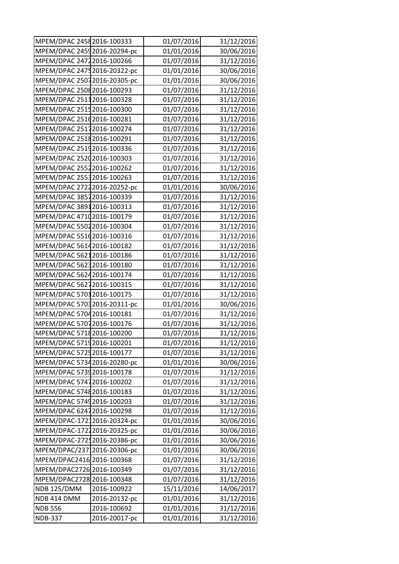| MPEM/DPAC 2458 2016-100333   |               | 01/07/2016 | 31/12/2016 |
|------------------------------|---------------|------------|------------|
| MPEM/DPAC 24592016-20294-pc  |               | 01/01/2016 | 30/06/2016 |
| MPEM/DPAC 2472 2016-100266   |               | 01/07/2016 | 31/12/2016 |
| MPEM/DPAC 2475 2016-20322-pc |               | 01/01/2016 | 30/06/2016 |
| MPEM/DPAC 25072016-20305-pc  |               | 01/01/2016 | 30/06/2016 |
| MPEM/DPAC 2508 2016-100293   |               | 01/07/2016 | 31/12/2016 |
| MPEM/DPAC 25112016-100328    |               | 01/07/2016 | 31/12/2016 |
| MPEM/DPAC 2515 2016-100300   |               | 01/07/2016 | 31/12/2016 |
| MPEM/DPAC 25162016-100281    |               | 01/07/2016 | 31/12/2016 |
| MPEM/DPAC 25172016-100274    |               | 01/07/2016 | 31/12/2016 |
| MPEM/DPAC 2518 2016-100291   |               | 01/07/2016 | 31/12/2016 |
| MPEM/DPAC 25192016-100336    |               | 01/07/2016 | 31/12/2016 |
| MPEM/DPAC 25202016-100303    |               | 01/07/2016 | 31/12/2016 |
| MPEM/DPAC 25522016-100262    |               | 01/07/2016 | 31/12/2016 |
| MPEM/DPAC 2553 2016-100263   |               | 01/07/2016 | 31/12/2016 |
| MPEM/DPAC 27222016-20252-pc  |               | 01/01/2016 | 30/06/2016 |
| MPEM/DPAC 38572016-100339    |               | 01/07/2016 | 31/12/2016 |
| MPEM/DPAC 38912016-100313    |               | 01/07/2016 | 31/12/2016 |
| MPEM/DPAC 47102016-100179    |               | 01/07/2016 | 31/12/2016 |
| MPEM/DPAC 55022016-100304    |               | 01/07/2016 | 31/12/2016 |
| MPEM/DPAC 55162016-100316    |               | 01/07/2016 | 31/12/2016 |
| MPEM/DPAC 56142016-100182    |               | 01/07/2016 | 31/12/2016 |
| MPEM/DPAC 56212016-100186    |               | 01/07/2016 | 31/12/2016 |
| MPEM/DPAC 56232016-100180    |               | 01/07/2016 | 31/12/2016 |
| MPEM/DPAC 56242016-100174    |               | 01/07/2016 | 31/12/2016 |
| MPEM/DPAC 56272016-100315    |               | 01/07/2016 | 31/12/2016 |
| MPEM/DPAC 57012016-100175    |               | 01/07/2016 | 31/12/2016 |
| MPEM/DPAC 5703 2016-20311-pc |               | 01/01/2016 | 30/06/2016 |
| MPEM/DPAC 5704 2016-100181   |               | 01/07/2016 | 31/12/2016 |
| MPEM/DPAC 57072016-100176    |               | 01/07/2016 | 31/12/2016 |
| MPEM/DPAC 57182016-100200    |               | 01/07/2016 | 31/12/2016 |
| MPEM/DPAC 5719 2016-100201   |               | 01/07/2016 | 31/12/2016 |
| MPEM/DPAC 5725 2016-100177   |               | 01/07/2016 | 31/12/2016 |
| MPEM/DPAC 57342016-20280-pc  |               | 01/01/2016 | 30/06/2016 |
| MPEM/DPAC 57392016-100178    |               | 01/07/2016 | 31/12/2016 |
| MPEM/DPAC 57472016-100202    |               | 01/07/2016 | 31/12/2016 |
| MPEM/DPAC 5748 2016-100183   |               | 01/07/2016 | 31/12/2016 |
| MPEM/DPAC 57492016-100203    |               | 01/07/2016 | 31/12/2016 |
| MPEM/DPAC 62472016-100298    |               | 01/07/2016 | 31/12/2016 |
| MPEM/DPAC-17212016-20324-pc  |               | 01/01/2016 | 30/06/2016 |
| MPEM/DPAC-17212016-20325-pc  |               | 01/01/2016 | 30/06/2016 |
| MPEM/DPAC-27252016-20386-pc  |               | 01/01/2016 | 30/06/2016 |
| MPEM/DPAC/23712016-20306-pc  |               | 01/01/2016 | 30/06/2016 |
| MPEM/DPAC2416 2016-100368    |               | 01/07/2016 | 31/12/2016 |
| MPEM/DPAC2726 2016-100349    |               | 01/07/2016 | 31/12/2016 |
| MPEM/DPAC2728 2016-100348    |               | 01/07/2016 | 31/12/2016 |
| <b>NDB 125/DMM</b>           | 2016-100922   | 15/11/2016 | 14/06/2017 |
| NDB 414 DMM                  | 2016-20132-pc | 01/01/2016 | 31/12/2016 |
| <b>NDB 556</b>               | 2016-100692   | 01/01/2016 | 31/12/2016 |
| <b>NDB-337</b>               | 2016-20017-pc | 01/01/2016 | 31/12/2016 |